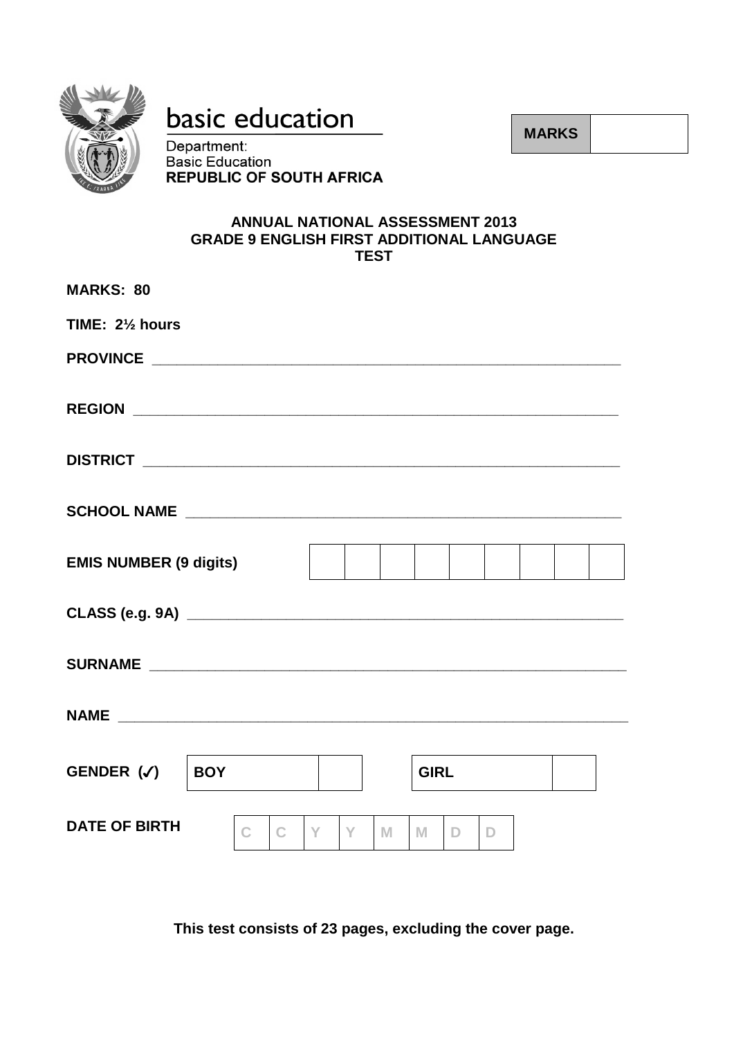

# basic education

**MARKS**

Department: **Basic Education REPUBLIC OF SOUTH AFRICA** 

#### **ANNUAL NATIONAL ASSESSMENT 2013 GRADE 9 ENGLISH FIRST ADDITIONAL LANGUAGE TEST**

| <b>MARKS: 80</b>              |            |             |             |    |              |   |             |   |   |  |  |
|-------------------------------|------------|-------------|-------------|----|--------------|---|-------------|---|---|--|--|
| TIME: $2\frac{1}{2}$ hours    |            |             |             |    |              |   |             |   |   |  |  |
|                               |            |             |             |    |              |   |             |   |   |  |  |
|                               |            |             |             |    |              |   |             |   |   |  |  |
|                               |            |             |             |    |              |   |             |   |   |  |  |
|                               |            |             |             |    |              |   |             |   |   |  |  |
| <b>EMIS NUMBER (9 digits)</b> |            |             |             |    |              |   |             |   |   |  |  |
|                               |            |             |             |    |              |   |             |   |   |  |  |
|                               |            |             |             |    |              |   |             |   |   |  |  |
|                               |            |             |             |    |              |   |             |   |   |  |  |
| GENDER $(\checkmark)$         | <b>BOY</b> |             |             |    |              |   | <b>GIRL</b> |   |   |  |  |
| <b>DATE OF BIRTH</b>          |            | $\mathsf C$ | $\mathbf C$ | Y. | $\mathbf{Y}$ | M | M           | D | D |  |  |

**This test consists of 23 pages, excluding the cover page.**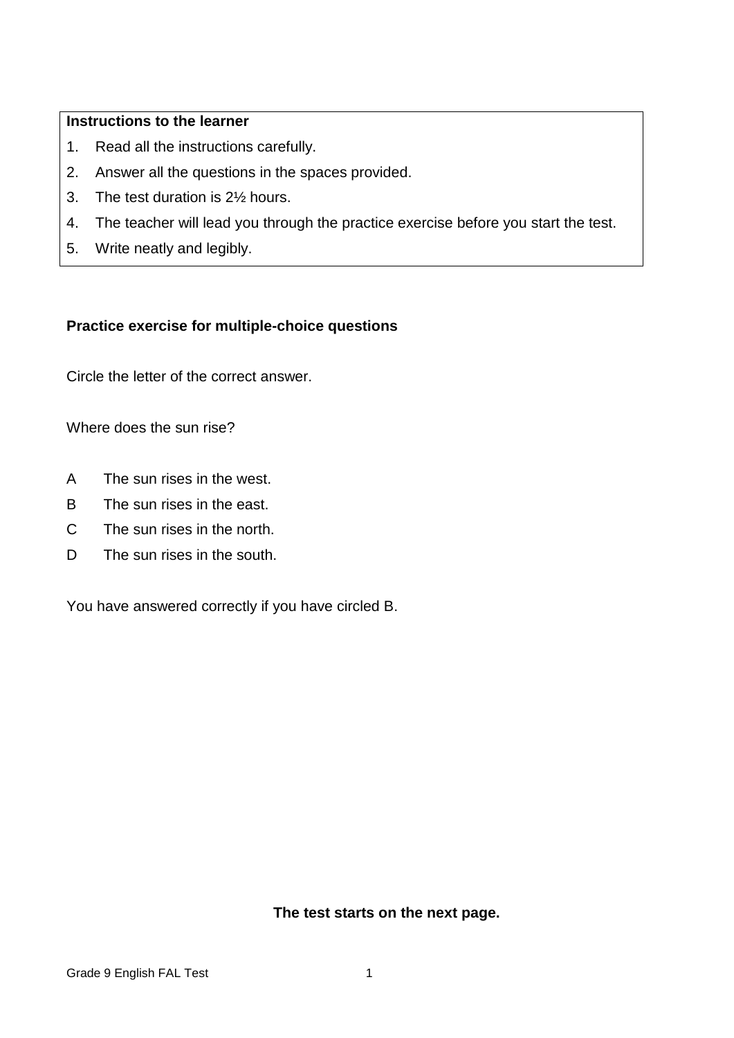#### **Instructions to the learner**

- 1. Read all the instructions carefully.
- 2. Answer all the questions in the spaces provided.
- 3. The test duration is 2½ hours.
- 4. The teacher will lead you through the practice exercise before you start the test.
- 5. Write neatly and legibly.

#### **Practice exercise for multiple-choice questions**

Circle the letter of the correct answer.

Where does the sun rise?

- A The sun rises in the west.
- B The sun rises in the east.
- C The sun rises in the north.
- D. The sun rises in the south.

You have answered correctly if you have circled B.

**The test starts on the next page.**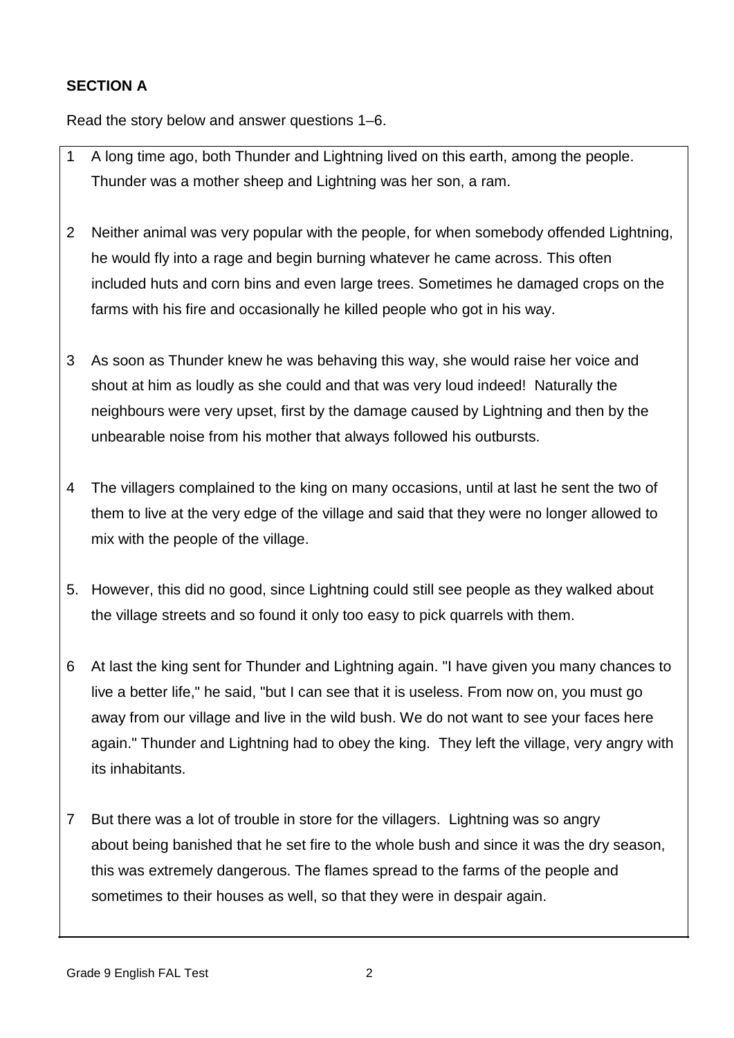# **SECTION A**

Read the story below and answer questions 1–6.

- 1 A long time ago, both Thunder and Lightning lived on this earth, among the people. Thunder was a mother sheep and Lightning was her son, a ram.
- 2 Neither animal was very popular with the people, for when somebody offended Lightning, he would fly into a rage and begin burning whatever he came across. This often included huts and corn bins and even large trees. Sometimes he damaged crops on the farms with his fire and occasionally he killed people who got in his way.
- 3 As soon as Thunder knew he was behaving this way, she would raise her voice and shout at him as loudly as she could and that was very loud indeed! Naturally the neighbours were very upset, first by the damage caused by Lightning and then by the unbearable noise from his mother that always followed his outbursts.
- 4 The villagers complained to the king on many occasions, until at last he sent the two of them to live at the very edge of the village and said that they were no longer allowed to mix with the people of the village.
- 5. However, this did no good, since Lightning could still see people as they walked about the village streets and so found it only too easy to pick quarrels with them.
- 6 At last the king sent for Thunder and Lightning again. "I have given you many chances to live a better life," he said, "but I can see that it is useless. From now on, you must go away from our village and live in the wild bush. We do not want to see your faces here again." Thunder and Lightning had to obey the king. They left the village, very angry with its inhabitants.
- 7 But there was a lot of trouble in store for the villagers. Lightning was so angry about being banished that he set fire to the whole bush and since it was the dry season, this was extremely dangerous. The flames spread to the farms of the people and sometimes to their houses as well, so that they were in despair again.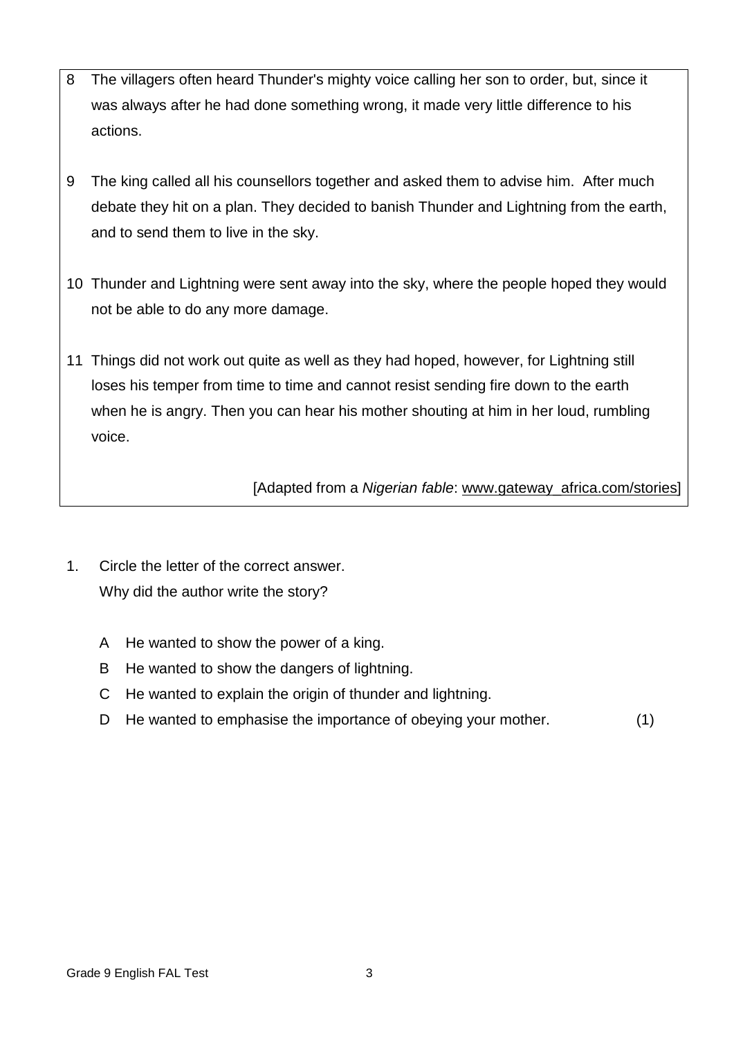- 8 The villagers often heard Thunder's mighty voice calling her son to order, but, since it was always after he had done something wrong, it made very little difference to his actions.
- 9 The king called all his counsellors together and asked them to advise him. After much debate they hit on a plan. They decided to banish Thunder and Lightning from the earth, and to send them to live in the sky.
- 10 Thunder and Lightning were sent away into the sky, where the people hoped they would not be able to do any more damage.
- 11 Things did not work out quite as well as they had hoped, however, for Lightning still loses his temper from time to time and cannot resist sending fire down to the earth when he is angry. Then you can hear his mother shouting at him in her loud, rumbling voice.

[Adapted from a *Nigerian fable*: www.gateway\_africa.com/stories]

- 1. Circle the letter of the correct answer. Why did the author write the story?
	- A He wanted to show the power of a king.
	- B He wanted to show the dangers of lightning.
	- C He wanted to explain the origin of thunder and lightning.
	- D He wanted to emphasise the importance of obeying your mother. (1)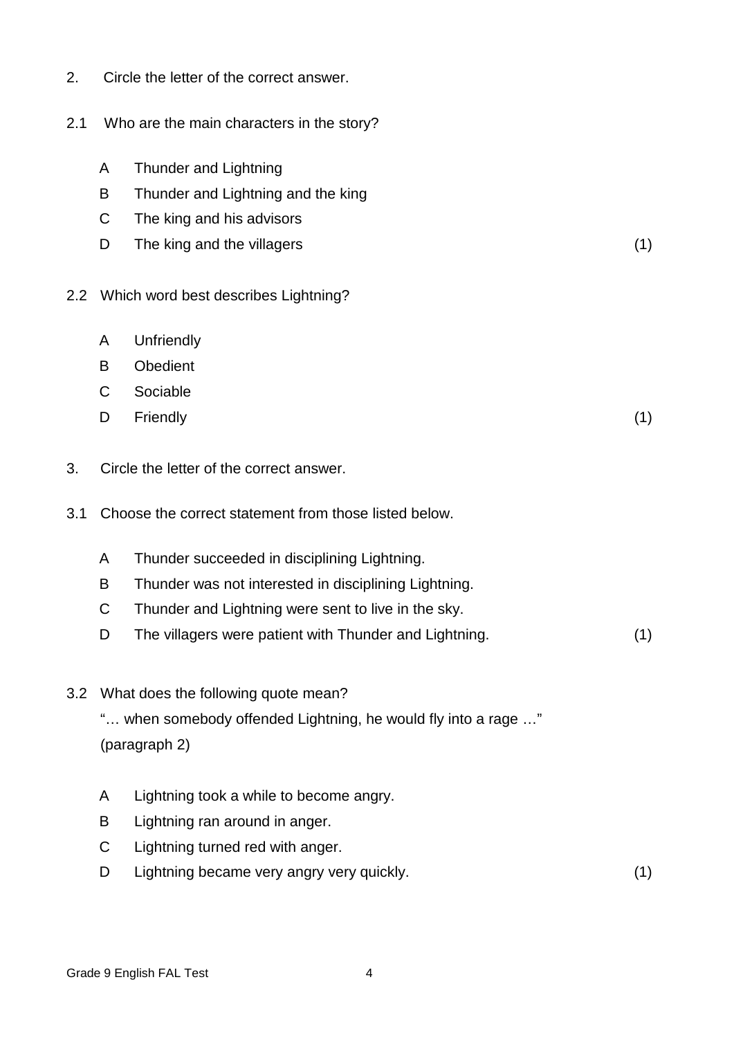- 2. Circle the letter of the correct answer.
- 2.1 Who are the main characters in the story?
	- A Thunder and Lightning
	- B Thunder and Lightning and the king
	- C The king and his advisors
	- D The king and the villagers

(1)

- 2.2 Which word best describes Lightning?
	- A **Unfriendly**
	- B **Obedient**
	- $\mathcal{C}$ Sociable
	- D. **Friendly** (1)
- 3. Circle the letter of the correct answer.
- 3.1 Choose the correct statement from those listed below.
	- A Thunder succeeded in disciplining Lightning.
	- B Thunder was not interested in disciplining Lightning.
	- C Thunder and Lightning were sent to live in the sky.
	- D. The villagers were patient with Thunder and Lightning. (1)
- 3.2 What does the following quote mean?

"… when somebody offended Lightning, he would fly into a rage …" (paragraph 2)

- A Lightning took a while to become angry.
- B Lightning ran around in anger.
- C Lightning turned red with anger.
- D Lightning became very angry very quickly. (1)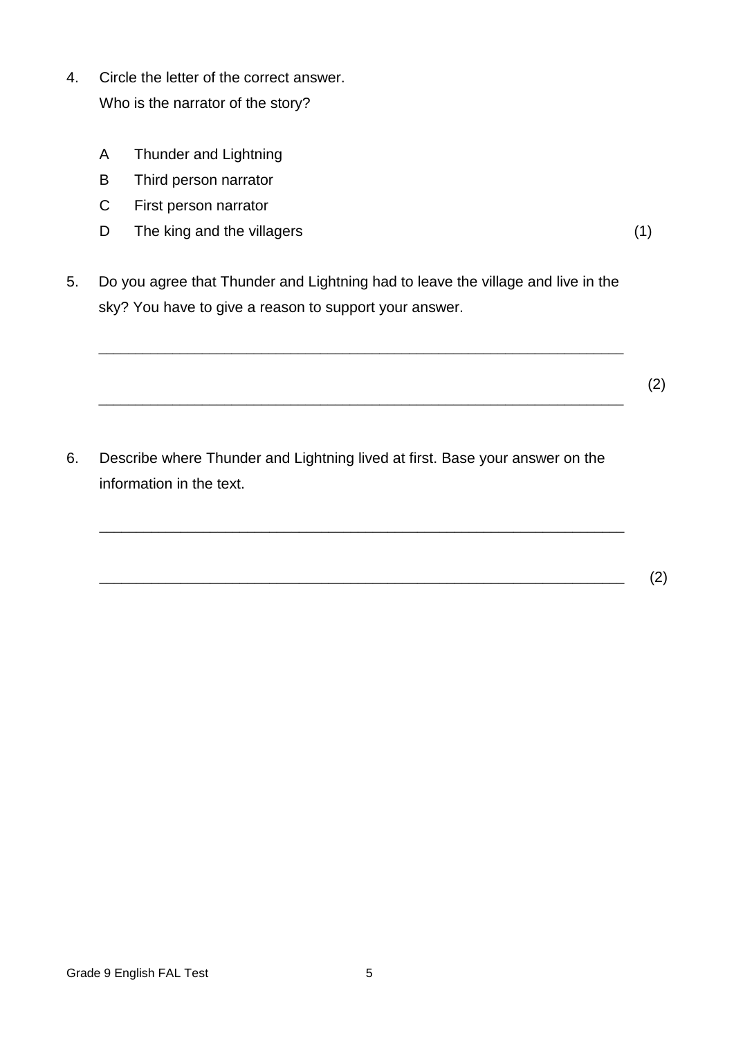- 4. Circle the letter of the correct answer. Who is the narrator of the story?
	- A Thunder and Lightning
	- B Third person narrator
	- C First person narrator
	- D The king and the villagers (1) (1)

5. Do you agree that Thunder and Lightning had to leave the village and live in the sky? You have to give a reason to support your answer.

\_\_\_\_\_\_\_\_\_\_\_\_\_\_\_\_\_\_\_\_\_\_\_\_\_\_\_\_\_\_\_\_\_\_\_\_\_\_\_\_\_\_\_\_\_\_\_\_\_\_\_\_\_\_\_\_\_\_\_\_\_\_\_\_\_\_\_\_\_\_\_

- $\hspace{2cm} (2)$
- 6. Describe where Thunder and Lightning lived at first. Base your answer on the information in the text.

\_\_\_\_\_\_\_\_\_\_\_\_\_\_\_\_\_\_\_\_\_\_\_\_\_\_\_\_\_\_\_\_\_\_\_\_\_\_\_\_\_\_\_\_\_\_\_\_\_\_\_\_\_\_\_\_\_\_\_\_\_\_\_\_\_\_\_\_\_\_\_

\_\_\_\_\_\_\_\_\_\_\_\_\_\_\_\_\_\_\_\_\_\_\_\_\_\_\_\_\_\_\_\_\_\_\_\_\_\_\_\_\_\_\_\_\_\_\_\_\_\_\_\_\_\_\_\_\_\_\_\_\_\_\_\_\_\_\_\_\_\_\_ (2)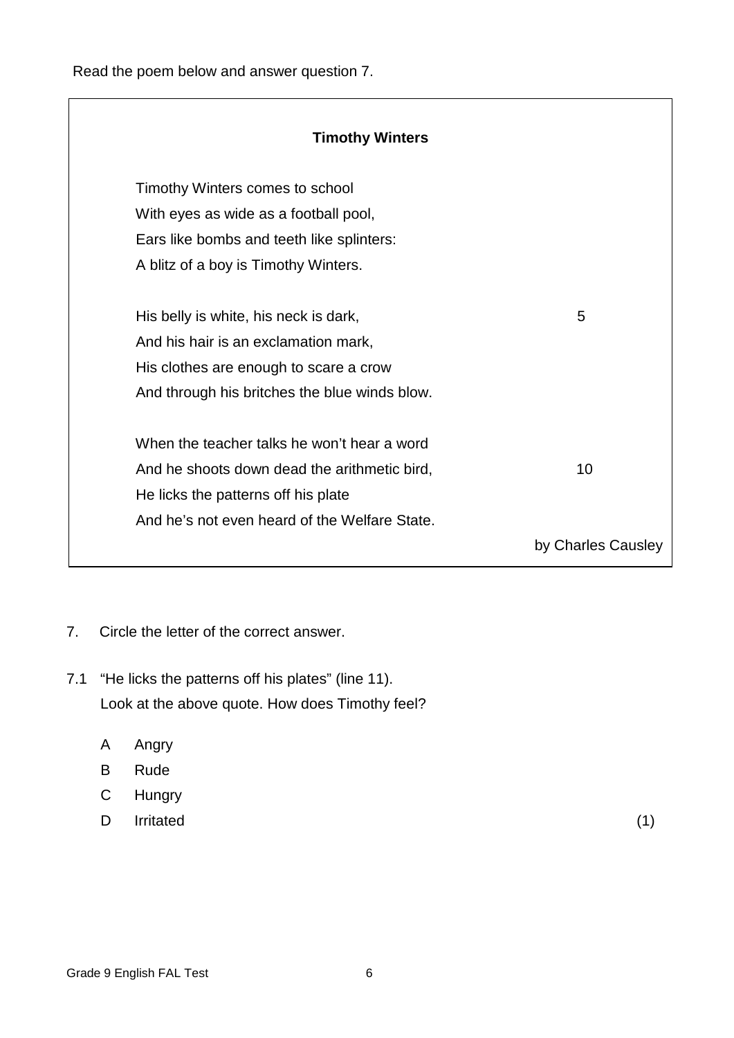Read the poem below and answer question 7.

| <b>Timothy Winters</b>                        |                    |
|-----------------------------------------------|--------------------|
| Timothy Winters comes to school               |                    |
| With eyes as wide as a football pool,         |                    |
| Ears like bombs and teeth like splinters:     |                    |
| A blitz of a boy is Timothy Winters.          |                    |
| His belly is white, his neck is dark,         | 5                  |
| And his hair is an exclamation mark,          |                    |
| His clothes are enough to scare a crow        |                    |
| And through his britches the blue winds blow. |                    |
|                                               |                    |
| When the teacher talks he won't hear a word   |                    |
| And he shoots down dead the arithmetic bird,  | 10                 |
| He licks the patterns off his plate           |                    |
| And he's not even heard of the Welfare State. |                    |
|                                               | by Charles Causley |
|                                               |                    |

- 7. Circle the letter of the correct answer.
- 7.1 "He licks the patterns off his plates" (line 11). Look at the above quote. How does Timothy feel?
	- A Angry
	- B Rude
	- C Hungry
	- D Irritated (1)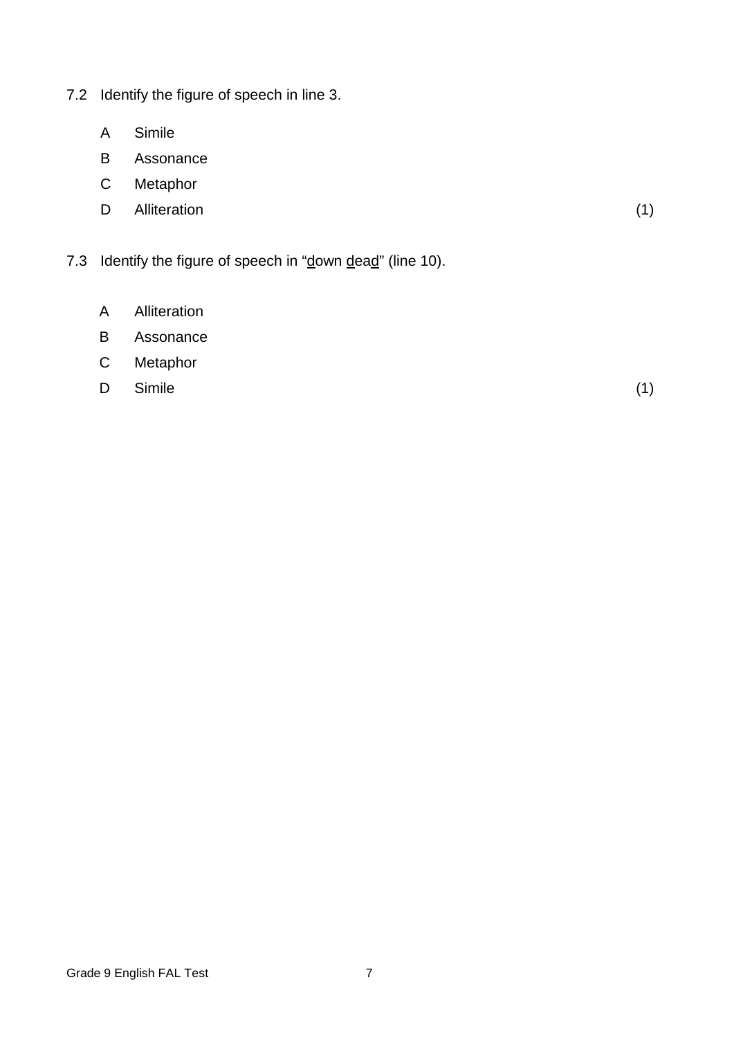- 7.2 Identify the figure of speech in line 3.
	- A Simile
	- B Assonance
	- C Metaphor
	- D Alliteration (1)

- 7.3 Identify the figure of speech in "down dead" (line 10).
	- A Alliteration
	- B Assonance
	- C Metaphor
	- D Simile (1)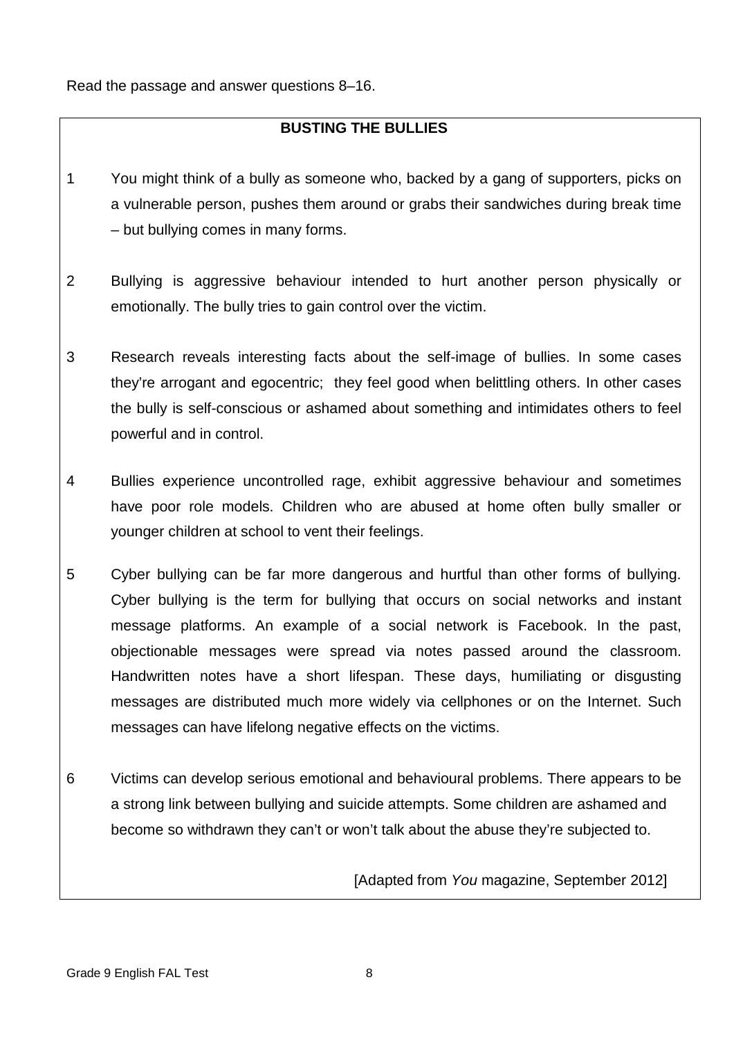Read the passage and answer questions 8–16.

# **BUSTING THE BULLIES**

- 1 You might think of a bully as someone who, backed by a gang of supporters, picks on a vulnerable person, pushes them around or grabs their sandwiches during break time – but bullying comes in many forms.
- 2 Bullying is aggressive behaviour intended to hurt another person physically or emotionally. The bully tries to gain control over the victim.
- 3 Research reveals interesting facts about the self-image of bullies. In some cases they're arrogant and egocentric; they feel good when belittling others. In other cases the bully is self-conscious or ashamed about something and intimidates others to feel powerful and in control.
- 4 Bullies experience uncontrolled rage, exhibit aggressive behaviour and sometimes have poor role models. Children who are abused at home often bully smaller or younger children at school to vent their feelings.
- 5 Cyber bullying can be far more dangerous and hurtful than other forms of bullying. Cyber bullying is the term for bullying that occurs on social networks and instant message platforms. An example of a social network is Facebook. In the past, objectionable messages were spread via notes passed around the classroom. Handwritten notes have a short lifespan. These days, humiliating or disgusting messages are distributed much more widely via cellphones or on the Internet. Such messages can have lifelong negative effects on the victims.
- 6 Victims can develop serious emotional and behavioural problems. There appears to be a strong link between bullying and suicide attempts. Some children are ashamed and become so withdrawn they can't or won't talk about the abuse they're subjected to.

[Adapted from *You* magazine, September 2012]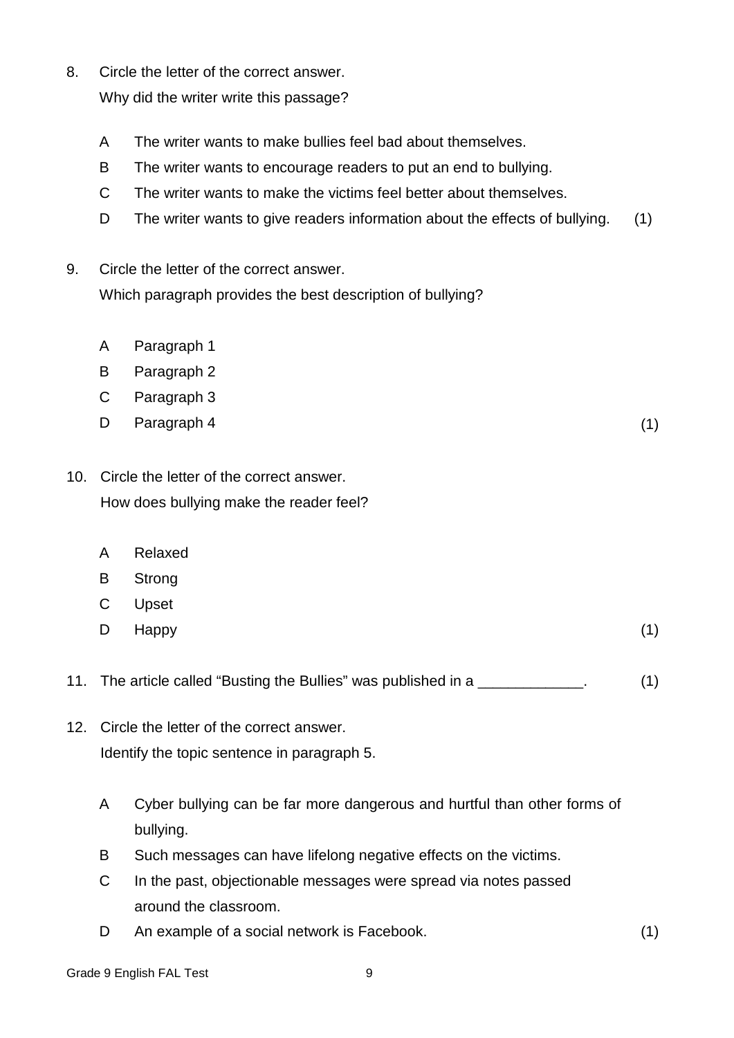- 8. Circle the letter of the correct answer. Why did the writer write this passage?
	- A The writer wants to make bullies feel bad about themselves.
	- B The writer wants to encourage readers to put an end to bullying.
	- C The writer wants to make the victims feel better about themselves.
	- D The writer wants to give readers information about the effects of bullying. (1)
- 9. Circle the letter of the correct answer. Which paragraph provides the best description of bullying?
	- A Paragraph 1
	- B Paragraph 2
	- C Paragraph 3
	- D Paragraph 4
- 10. Circle the letter of the correct answer. How does bullying make the reader feel?
	- A Relaxed
	- B Strong
	- C Upset
	- D Happy
- 11. The article called "Busting the Bullies" was published in a \_\_\_\_\_\_\_\_\_\_\_\_. (1)
- 12. Circle the letter of the correct answer. Identify the topic sentence in paragraph 5.
	- A Cyber bullying can be far more dangerous and hurtful than other forms of bullying.
	- B Such messages can have lifelong negative effects on the victims.
	- C In the past, objectionable messages were spread via notes passed around the classroom.
	- D An example of a social network is Facebook.

(1)

(1)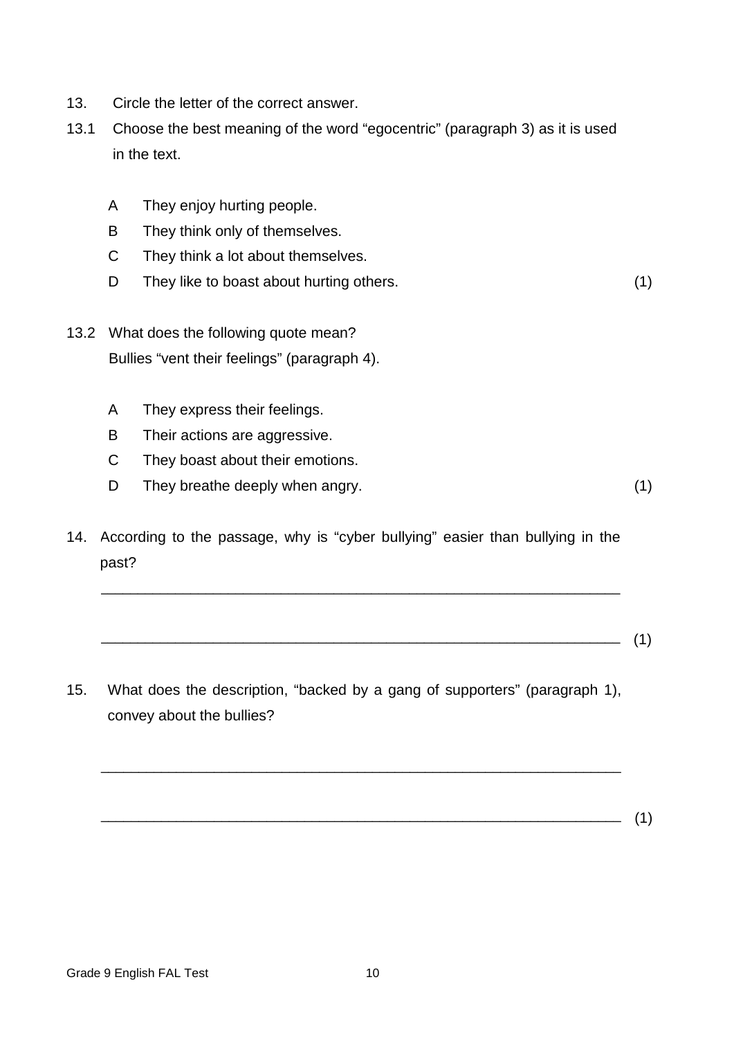- 13. Circle the letter of the correct answer.
- 13.1 Choose the best meaning of the word "egocentric" (paragraph 3) as it is used in the text.
	- A They enjoy hurting people.
	- B They think only of themselves.
	- $\mathsf{C}$ They think a lot about themselves.
	- D They like to boast about hurting others. (1)
- 13.2 What does the following quote mean? Bullies "vent their feelings" (paragraph 4).
	- A They express their feelings.
	- B Their actions are aggressive.
	- $\mathcal{C}$ They boast about their emotions.
	- D. They breathe deeply when angry.
- 14. According to the passage, why is "cyber bullying" easier than bullying in the past?

\_\_\_\_\_\_\_\_\_\_\_\_\_\_\_\_\_\_\_\_\_\_\_\_\_\_\_\_\_\_\_\_\_\_\_\_\_\_\_\_\_\_\_\_\_\_\_\_\_\_\_\_\_\_\_\_\_\_\_\_\_\_\_\_\_\_\_\_\_

\_\_\_\_\_\_\_\_\_\_\_\_\_\_\_\_\_\_\_\_\_\_\_\_\_\_\_\_\_\_\_\_\_\_\_\_\_\_\_\_\_\_\_\_\_\_\_\_\_\_\_\_\_\_\_\_\_\_\_\_\_\_\_\_\_\_\_\_\_ (1)

(1)

15. What does the description, "backed by a gang of supporters" (paragraph 1), convey about the bullies?

\_\_\_\_\_\_\_\_\_\_\_\_\_\_\_\_\_\_\_\_\_\_\_\_\_\_\_\_\_\_\_\_\_\_\_\_\_\_\_\_\_\_\_\_\_\_\_\_\_\_\_\_\_\_\_\_\_\_\_\_\_\_\_\_\_\_\_\_\_

 $\frac{1}{2}$  (1)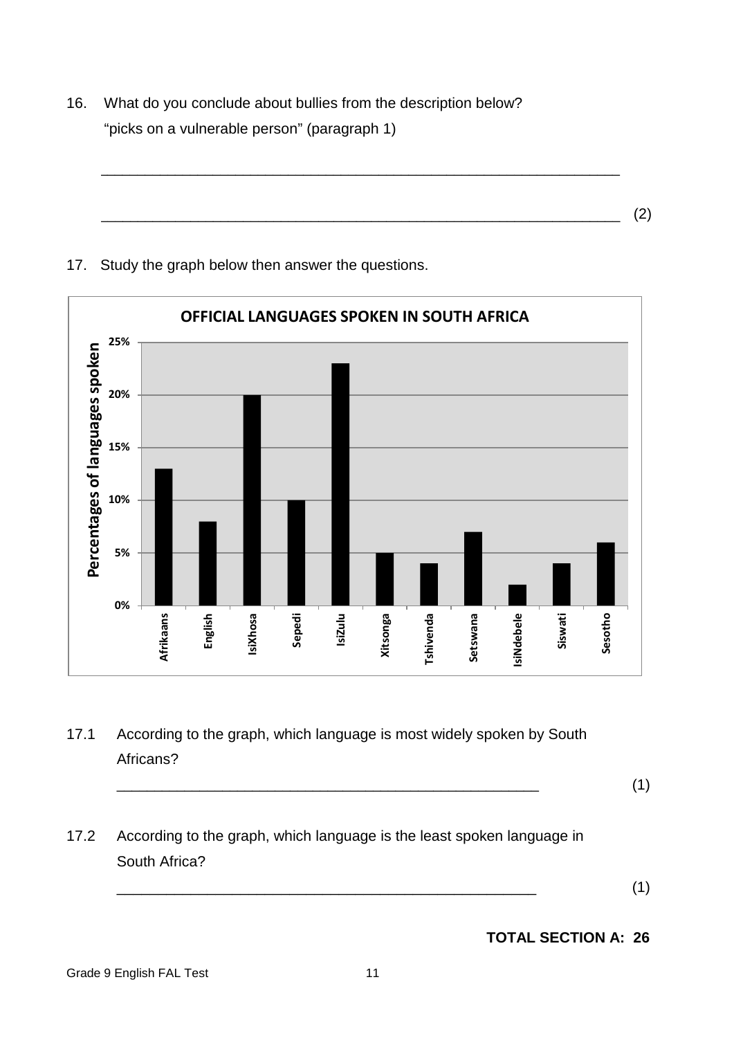16. What do you conclude about bullies from the description below? "picks on a vulnerable person" (paragraph 1)

**OFFICIAL LANGUAGES SPOKEN IN SOUTH AFRICA25%** Percentages of languages spoken **Percentages of languages spoken 20% 15% 10% 5% 0% English IsiXhosa Sepedi IsiZulu Siswati** Afrikaans **Xitsonga Tshivenda** Setswana siNdebele **Sesotho Afrikaans Tshivenda Setswana IsiNdebele**

\_\_\_\_\_\_\_\_\_\_\_\_\_\_\_\_\_\_\_\_\_\_\_\_\_\_\_\_\_\_\_\_\_\_\_\_\_\_\_\_\_\_\_\_\_\_\_\_\_\_\_\_\_\_\_\_\_\_\_\_\_\_\_\_\_\_\_\_\_

\_\_\_\_\_\_\_\_\_\_\_\_\_\_\_\_\_\_\_\_\_\_\_\_\_\_\_\_\_\_\_\_\_\_\_\_\_\_\_\_\_\_\_\_\_\_\_\_\_\_\_\_\_\_\_\_\_\_\_\_\_\_\_\_\_\_\_\_\_ (2)

17. Study the graph below then answer the questions.

17.1 According to the graph, which language is most widely spoken by South Africans?

 $\overline{\phantom{a}}$  (1)

17.2 According to the graph, which language is the least spoken language in South Africa?

\_\_\_\_\_\_\_\_\_\_\_\_\_\_\_\_\_\_\_\_\_\_\_\_\_\_\_\_\_\_\_\_\_\_\_\_\_\_\_\_\_\_\_\_\_\_\_\_\_\_\_ (1)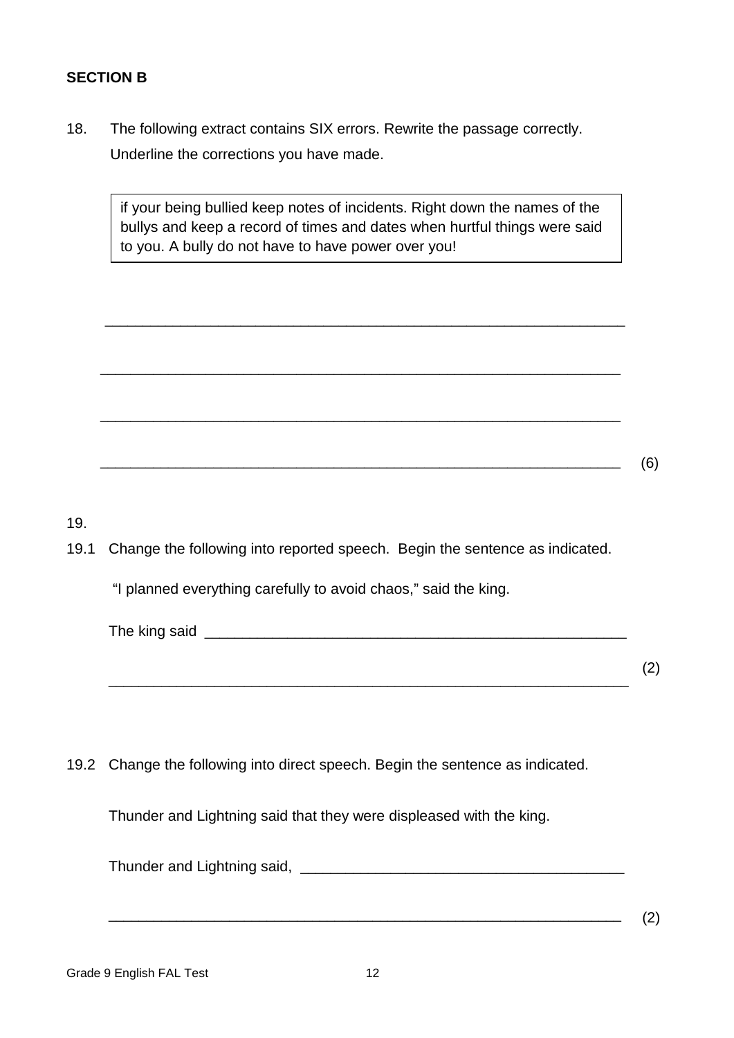#### **SECTION B**

18. The following extract contains SIX errors. Rewrite the passage correctly. Underline the corrections you have made.

> if your being bullied keep notes of incidents. Right down the names of the bullys and keep a record of times and dates when hurtful things were said to you. A bully do not have to have power over you!

 $\overline{\phantom{a}}$  , and the contribution of the contribution of the contribution of the contribution of the contribution of the contribution of the contribution of the contribution of the contribution of the contribution of the

\_\_\_\_\_\_\_\_\_\_\_\_\_\_\_\_\_\_\_\_\_\_\_\_\_\_\_\_\_\_\_\_\_\_\_\_\_\_\_\_\_\_\_\_\_\_\_\_\_\_\_\_\_\_\_\_\_\_\_\_\_\_\_\_\_\_\_\_\_

\_\_\_\_\_\_\_\_\_\_\_\_\_\_\_\_\_\_\_\_\_\_\_\_\_\_\_\_\_\_\_\_\_\_\_\_\_\_\_\_\_\_\_\_\_\_\_\_\_\_\_\_\_\_\_\_\_\_\_\_\_\_\_\_\_\_\_\_\_

19.

19.1 Change the following into reported speech. Begin the sentence as indicated.

"I planned everything carefully to avoid chaos," said the king.

The king said **with a set of the set of the set of the set of the set of the set of the set of the set of the set of the set of the set of the set of the set of the set of the set of the set of the set of the set of the se** 

 $\overline{\phantom{a}}^{(2)}$ 

(2)

19.2 Change the following into direct speech. Begin the sentence as indicated.

Thunder and Lightning said that they were displeased with the king.

Thunder and Lightning said, \_\_\_\_\_\_\_\_\_\_\_\_\_\_\_\_\_\_\_\_\_\_\_\_\_\_\_\_\_\_\_\_\_\_\_\_\_\_\_\_\_\_\_

\_\_\_\_\_\_\_\_\_\_\_\_\_\_\_\_\_\_\_\_\_\_\_\_\_\_\_\_\_\_\_\_\_\_\_\_\_\_\_\_\_\_\_\_\_\_\_\_\_\_\_\_\_\_\_\_\_\_\_\_\_\_\_\_\_\_\_\_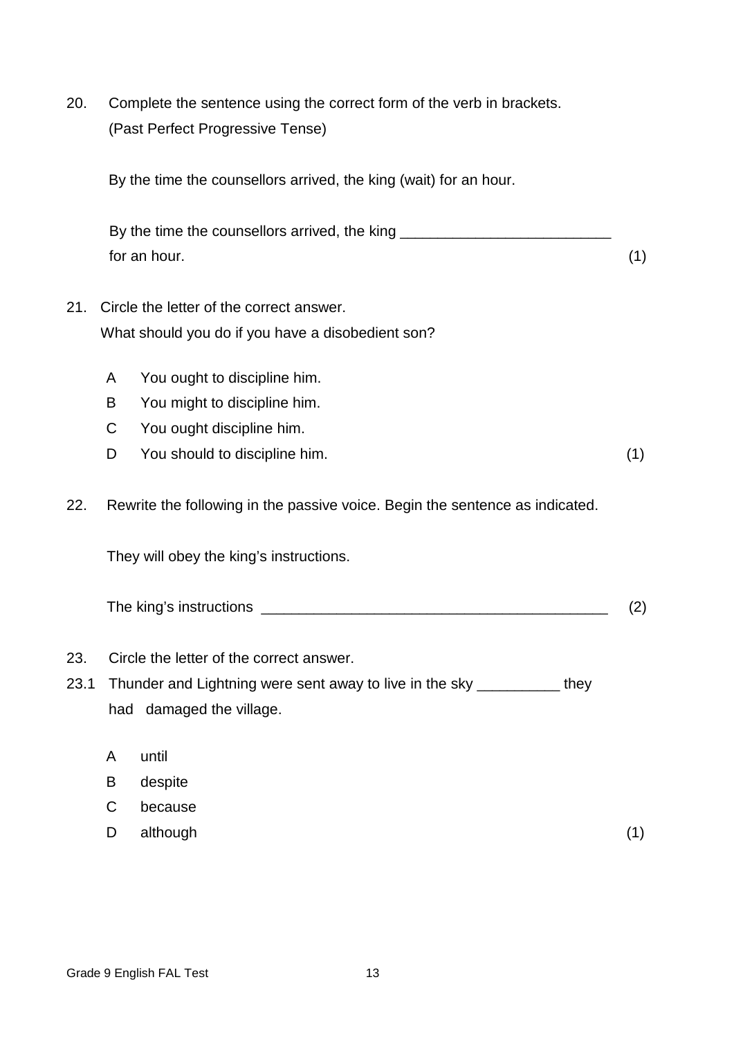20. Complete the sentence using the correct form of the verb in brackets. (Past Perfect Progressive Tense)

By the time the counsellors arrived, the king (wait) for an hour.

By the time the counsellors arrived, the king \_\_\_\_\_\_\_\_\_\_\_\_\_\_\_\_\_\_\_\_\_\_\_\_\_\_\_\_\_\_\_\_\_\_ for an hour. (1) (1)

- 21. Circle the letter of the correct answer. What should you do if you have a disobedient son?
	- A You ought to discipline him.
	- B You might to discipline him.
	- C You ought discipline him.
	- D You should to discipline him. (1)
- 22. Rewrite the following in the passive voice. Begin the sentence as indicated.

They will obey the king's instructions.

| The king's instructions |  |  |
|-------------------------|--|--|
|                         |  |  |

- 23. Circle the letter of the correct answer.
- 23.1 Thunder and Lightning were sent away to live in the sky **with the same way** they had damaged the village.
	- A until
	- B despite
	- $\mathbf{C}$ because
	- D. although (1)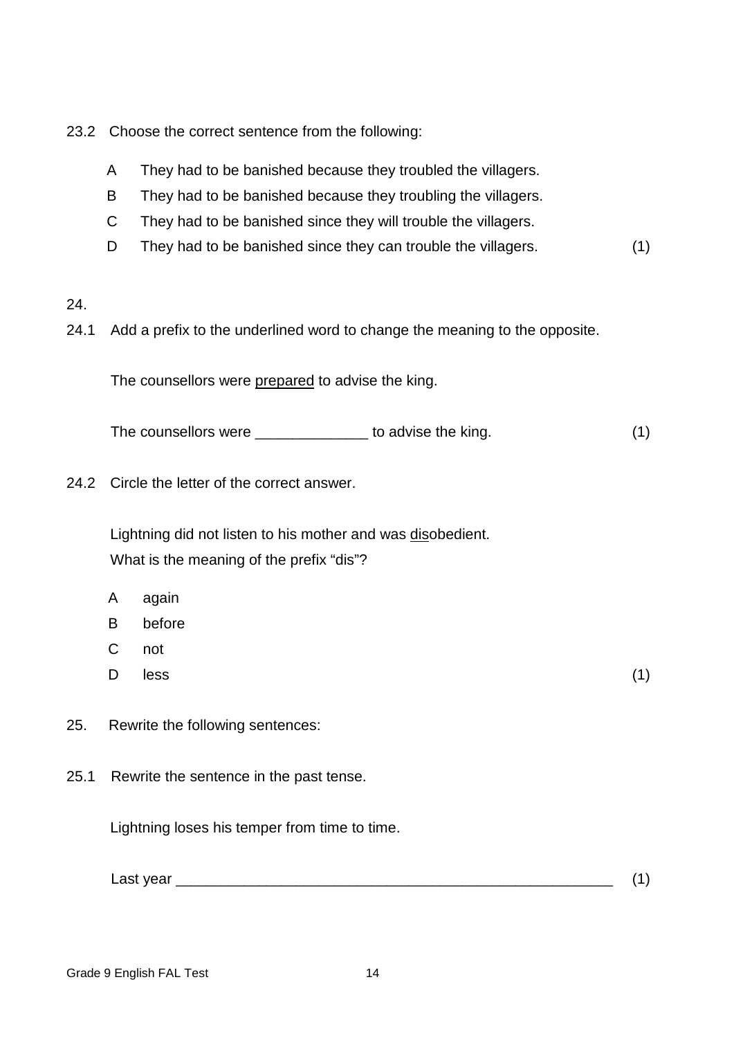- 23.2 Choose the correct sentence from the following:
	- A They had to be banished because they troubled the villagers.
	- B They had to be banished because they troubling the villagers.
	- C They had to be banished since they will trouble the villagers.
	- D. They had to be banished since they can trouble the villagers. (1)

#### 24.

24.1 Add a prefix to the underlined word to change the meaning to the opposite.

The counsellors were prepared to advise the king.

| The counsellors were | to advise the king. |  |
|----------------------|---------------------|--|
|----------------------|---------------------|--|

24.2 Circle the letter of the correct answer.

Lightning did not listen to his mother and was disobedient. What is the meaning of the prefix "dis"?

- A again
- B before
- C not
- D less (1)

- 25. Rewrite the following sentences:
- 25.1 Rewrite the sentence in the past tense.

Lightning loses his temper from time to time.

| 100r<br>$.$ net $.$<br>∟aɔι<br>$\sim$ $\sim$ $\sim$ $\sim$ $\sim$ |  |
|-------------------------------------------------------------------|--|
|                                                                   |  |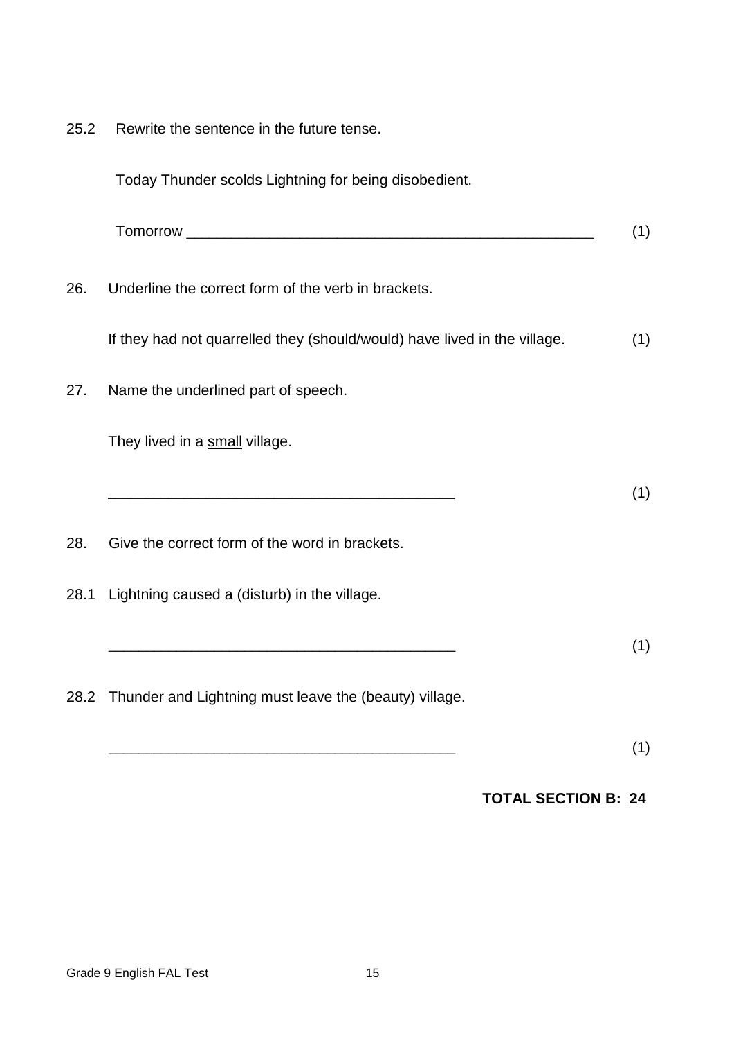25.2 Rewrite the sentence in the future tense.

Today Thunder scolds Lightning for being disobedient.

|      |                                                                           | (1) |
|------|---------------------------------------------------------------------------|-----|
| 26.  | Underline the correct form of the verb in brackets.                       |     |
|      | If they had not quarrelled they (should/would) have lived in the village. | (1) |
| 27.  | Name the underlined part of speech.                                       |     |
|      | They lived in a small village.                                            |     |
|      |                                                                           | (1) |
| 28.  | Give the correct form of the word in brackets.                            |     |
| 28.1 | Lightning caused a (disturb) in the village.                              |     |
|      |                                                                           | (1) |
|      | 28.2 Thunder and Lightning must leave the (beauty) village.               |     |
|      |                                                                           | (1) |

#### **TOTAL SECTION B: 24**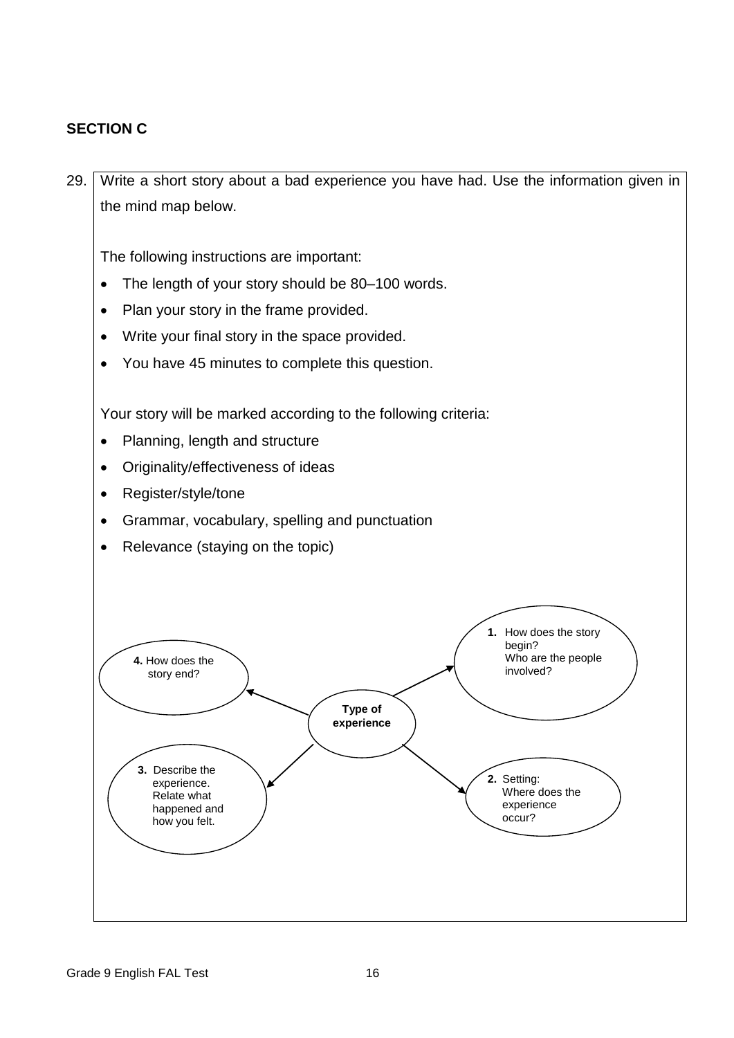### **SECTION C**

29. Write a short story about a bad experience you have had. Use the information given in the mind map below.

The following instructions are important:

- The length of your story should be 80–100 words.
- Plan your story in the frame provided.
- Write your final story in the space provided.
- You have 45 minutes to complete this question.

Your story will be marked according to the following criteria:

- Planning, length and structure
- Originality/effectiveness of ideas
- Register/style/tone
- Grammar, vocabulary, spelling and punctuation
- Relevance (staying on the topic)

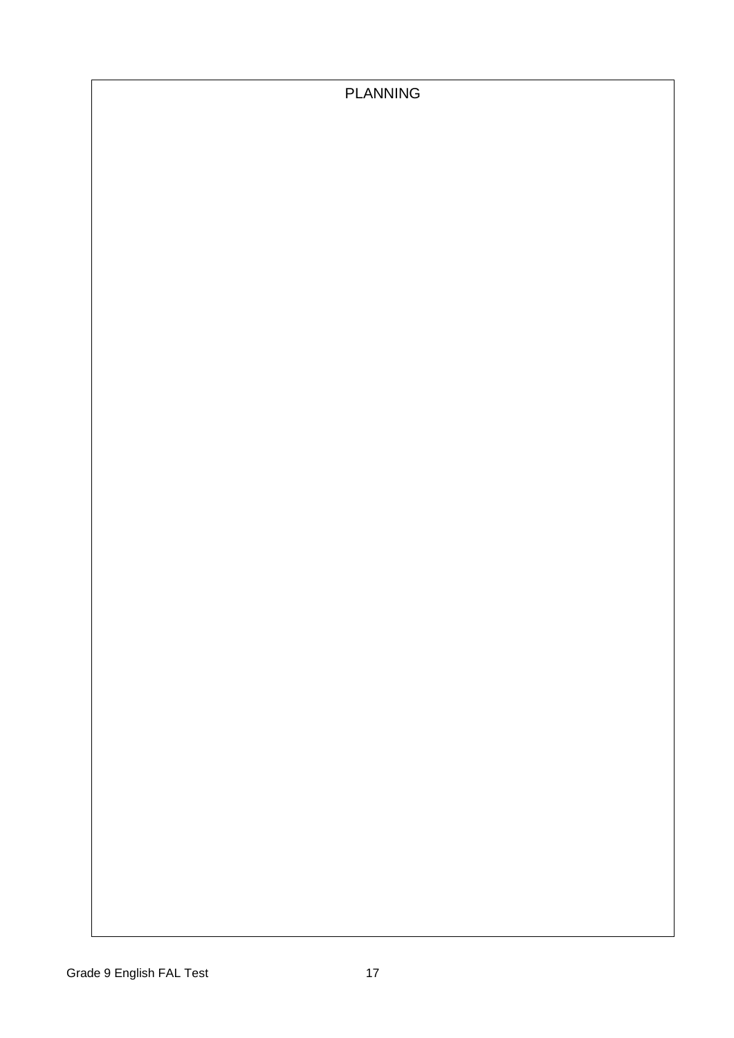# PLANNING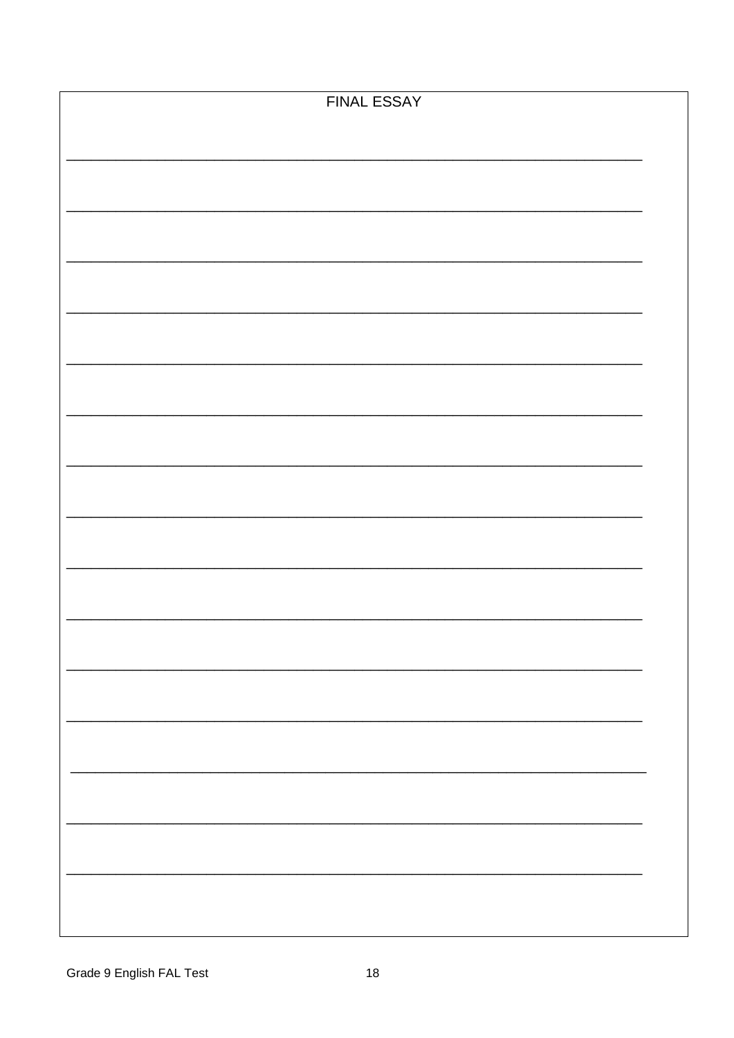| <b>FINAL ESSAY</b> |  |
|--------------------|--|
|                    |  |
|                    |  |
|                    |  |
|                    |  |
|                    |  |
|                    |  |
|                    |  |
|                    |  |
|                    |  |
|                    |  |
|                    |  |
|                    |  |
|                    |  |
|                    |  |
|                    |  |
|                    |  |
|                    |  |
|                    |  |
|                    |  |
|                    |  |
|                    |  |
|                    |  |
|                    |  |
|                    |  |
|                    |  |
|                    |  |
|                    |  |
|                    |  |
|                    |  |
|                    |  |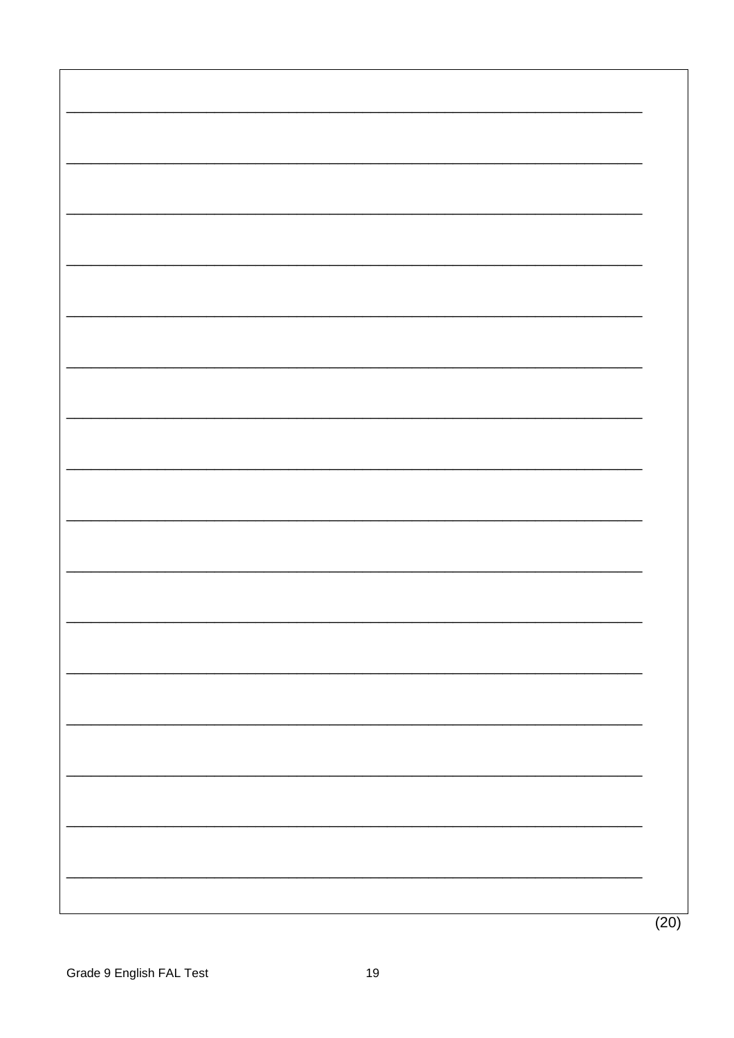| (20) |
|------|
|      |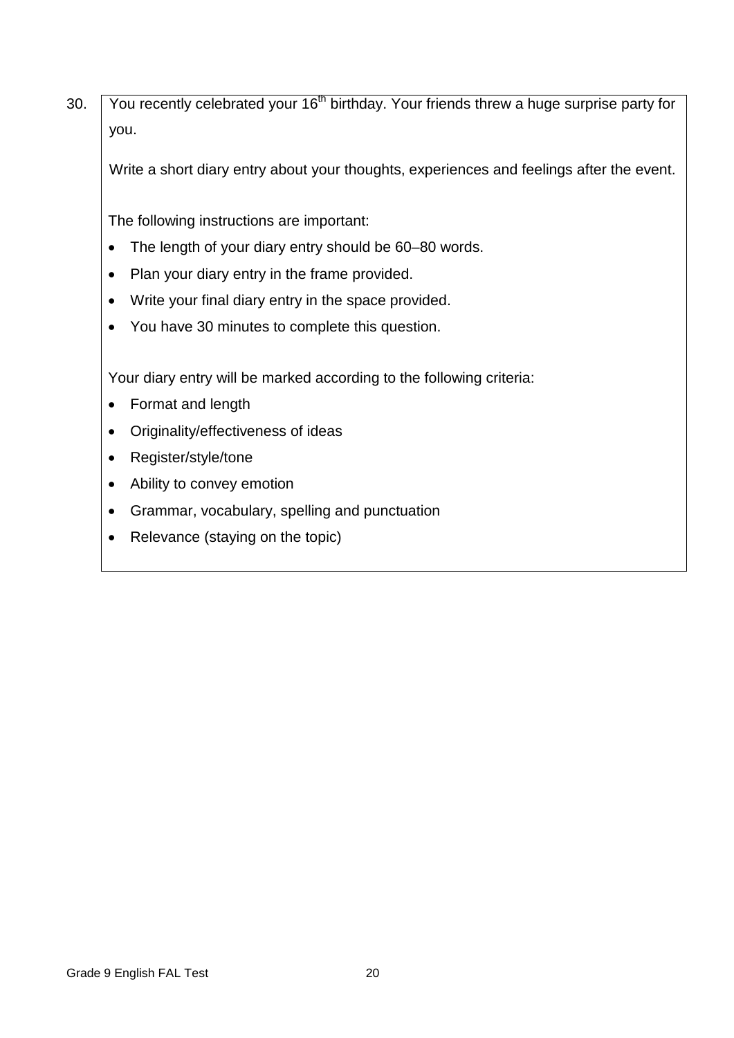30. You recently celebrated your  $16<sup>th</sup>$  birthday. Your friends threw a huge surprise party for you.

Write a short diary entry about your thoughts, experiences and feelings after the event.

The following instructions are important:

- The length of your diary entry should be 60–80 words.
- Plan your diary entry in the frame provided.
- Write your final diary entry in the space provided.
- You have 30 minutes to complete this question.

Your diary entry will be marked according to the following criteria:

- Format and length
- Originality/effectiveness of ideas
- Register/style/tone
- Ability to convey emotion
- Grammar, vocabulary, spelling and punctuation
- Relevance (staying on the topic)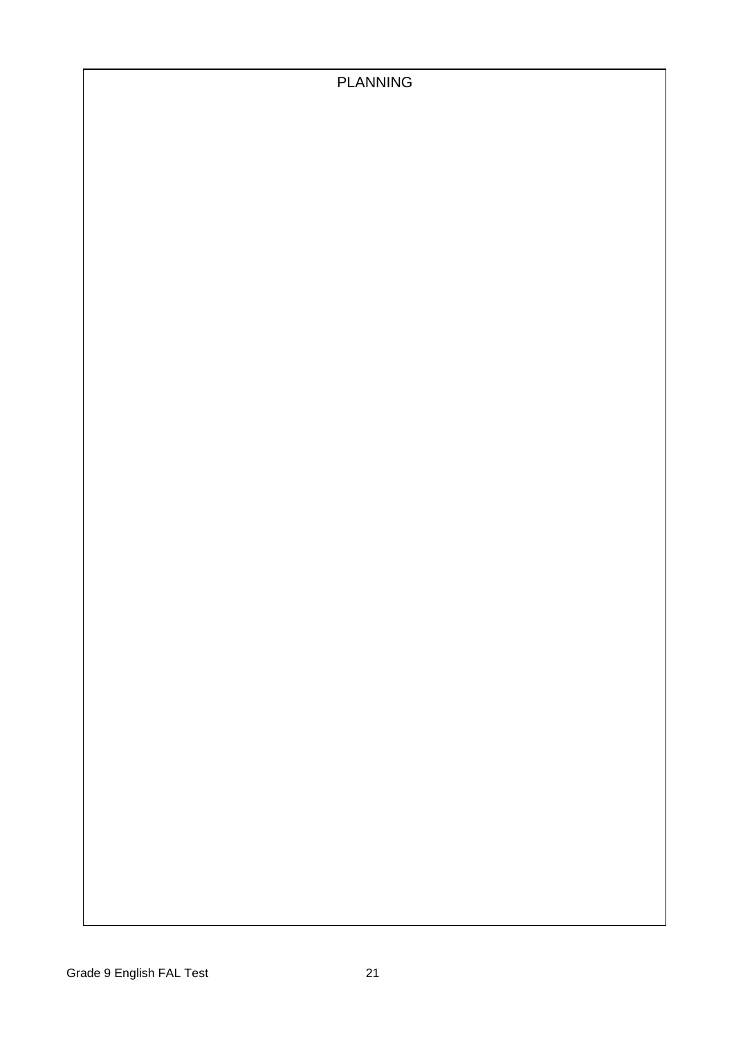PLANNING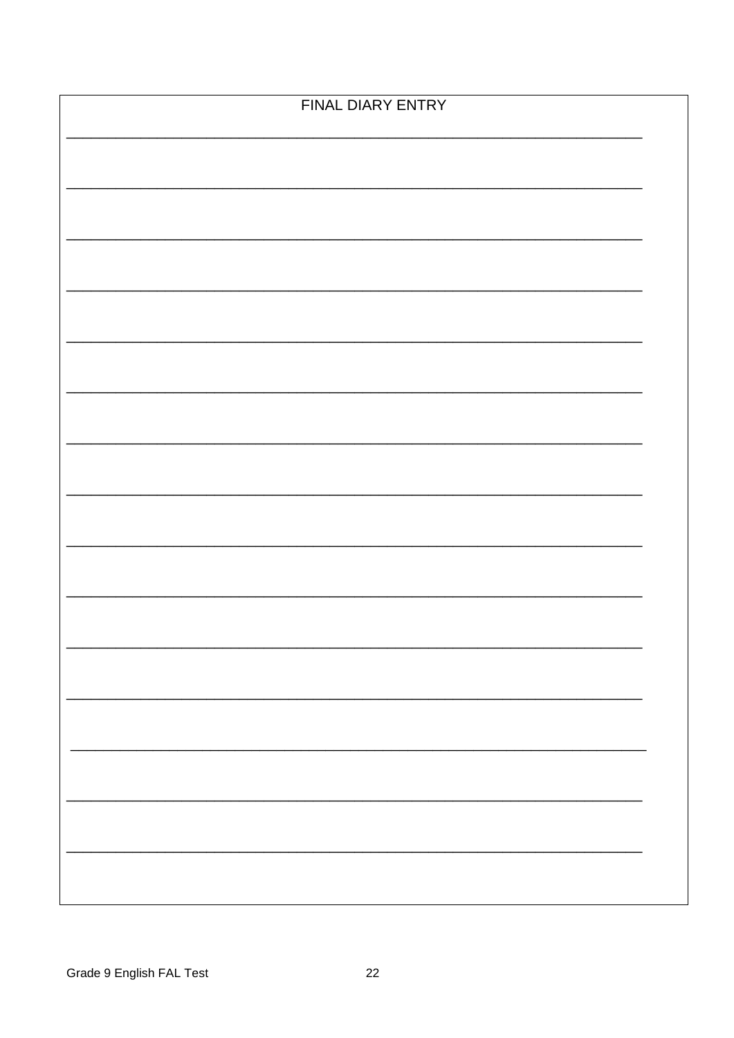| FINAL DIARY ENTRY |  |
|-------------------|--|
|                   |  |
|                   |  |
|                   |  |
|                   |  |
|                   |  |
|                   |  |
|                   |  |
|                   |  |
|                   |  |
|                   |  |
|                   |  |
|                   |  |
|                   |  |
|                   |  |
|                   |  |
|                   |  |
|                   |  |
|                   |  |
|                   |  |
|                   |  |
|                   |  |
|                   |  |
|                   |  |
|                   |  |
|                   |  |
|                   |  |
|                   |  |
|                   |  |
|                   |  |